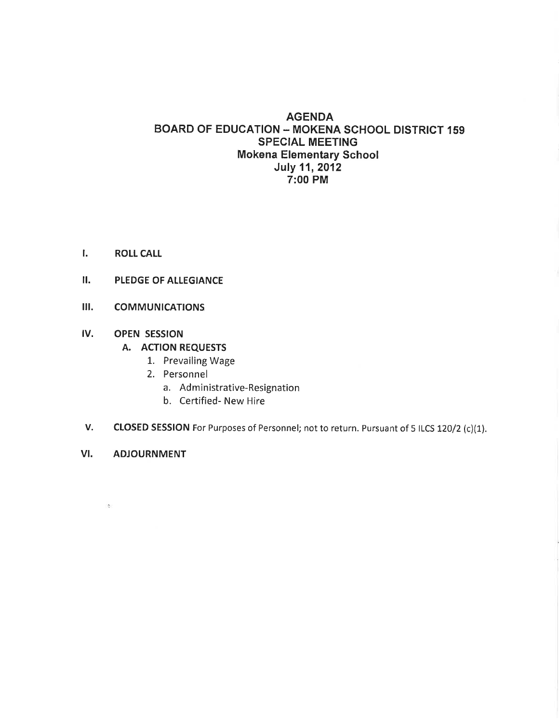#### AGENDA BOARD OF EDUCATION - MOKENA SCHOOL DISTRICT 159 SPECIAL MEETING Mokena Elementary School July 11, 2012 7:00 PM

- I. ROLL CALL
- II. PLEDGE OF ALLEGIANCE
- III. COMMUNICATIONS

#### IV. OPEN SESSION

- A. ACTION REQUESTS
	- 1. Prevailing Wage
	- 2. Personnel
		- a. Administrative-Resignation
		- b. Certified- New Hire
- V. CLOSED SESSION For Purposes of Personnel; not to return. Pursuant of 5 ILCS 120/2 (c)(1).
- VI. ADJOURNMENT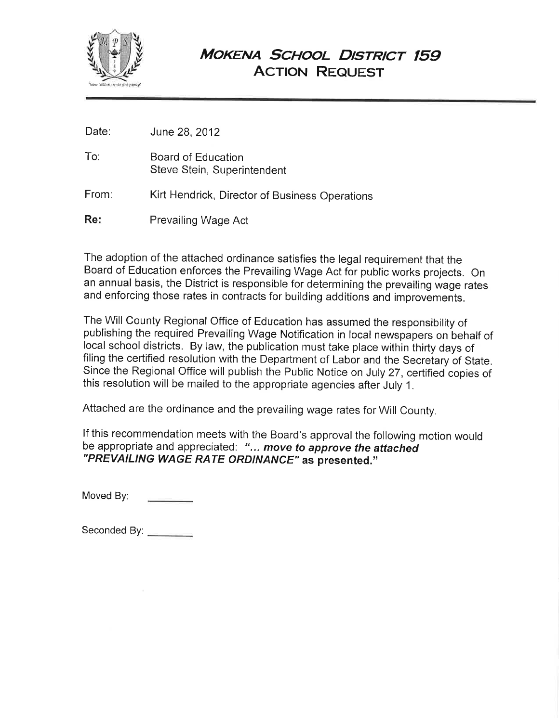

# MOKENA SCHOOL DISTRICT 159 **ACTION REQUEST**

To: Board of Education Steve Stein, Superintendent

From: Kirt Hendrick, Director of Business Operations

Re: Prevailing Wage Act

The adoption of the attached ordinance satisfies the legal requirement that the Board of Education enforces the Prevailing Wage Act for public works projects. On an annual basis, the District is responsible for determining the prevailing wage rates and enforcing those rates in contracts for building additions and improvements.

The Will County Regional Office of Education has assumed the responsibility of publishing the required Prevailing Wage Notification in local newspapers on behalf of local school districts. By law, the publication must take place within thirty days of filing the certified resolution with the Department of Labor and the Secretary of State. Since the Regional Office will publish the Public Notice on July 27, ceftified copies of this resolution will be mailed to the appropriate agencies after July 1.

Attached are the ordinance and the prevailing wage rates for will County.

lf this recommendation meets with the Board's approval the following motion would be appropriate and appreciated: "... move to approve the attached "PREVAILING WAGE RATE ORDINANCE" as presented."

Moved By:

Seconded By: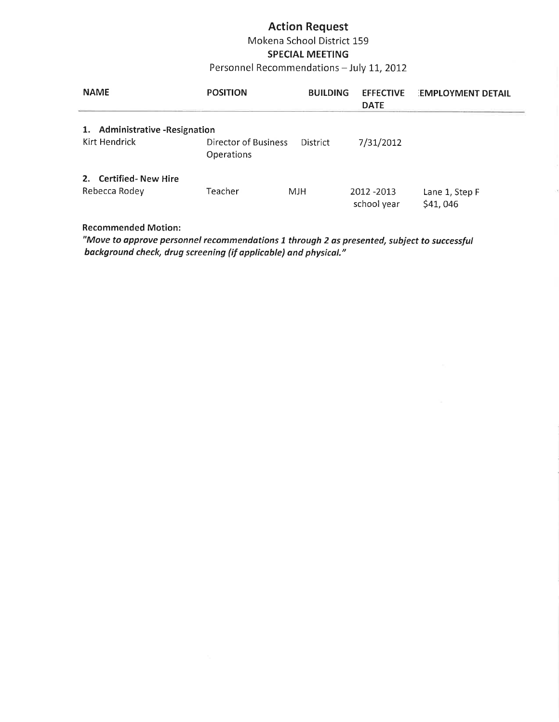### Action Request Mokena School District 159

## SPECIAL MEETING

### Personnel Recommendations - July 11, 2012

| <b>NAME</b>                                                | <b>POSITION</b>                           | <b>BUILDING</b> | <b>EFFECTIVE</b><br><b>DATE</b> | <b>EMPLOYMENT DETAIL</b>   |
|------------------------------------------------------------|-------------------------------------------|-----------------|---------------------------------|----------------------------|
| <b>Administrative - Resignation</b><br>1.<br>Kirt Hendrick | Director of Business<br><b>Operations</b> | <b>District</b> | 7/31/2012                       |                            |
| 2. Certified-New Hire<br>Rebecca Rodey                     | Teacher                                   | MJH             | 2012 - 2013<br>school year      | Lane 1, Step F<br>\$41,046 |

#### Recommended Motion:

"Move to approve personnel recommendations 1 through 2 as presented, subject to successful bockground check, drug screening (if opplicoble) and physical."